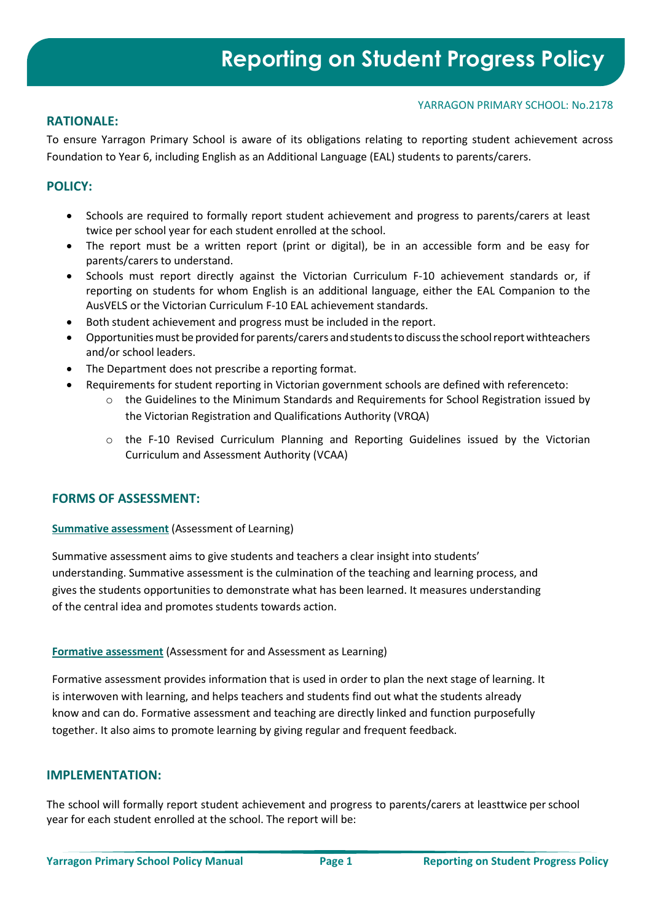#### YARRAGON PRIMARY SCHOOL: No.2178

## **RATIONALE:**

To ensure Yarragon Primary School is aware of its obligations relating to reporting student achievement across Foundation to Year 6, including English as an Additional Language (EAL) students to parents/carers.

## **POLICY:**

- Schools are required to formally report student achievement and progress to parents/carers at least twice per school year for each student enrolled at the school.
- The report must be a written report (print or digital), be in an accessible form and be easy for parents/carers to understand.
- Schools must report directly against the Victorian [Curriculum F-10 achievement standards o](https://www.vcaa.vic.edu.au/curriculum/foundation-10/Pages/default.aspx?Redirect=2)r, if reporting on students for whom English is an additional language, either the [EAL Companion to](https://www.vcaa.vic.edu.au/Documents/auscurric/EAL_companion_to_AusVELS.pdf) [the](https://www.vcaa.vic.edu.au/Documents/auscurric/EAL_companion_to_AusVELS.pdf) [AusVELS o](https://www.vcaa.vic.edu.au/Documents/auscurric/EAL_companion_to_AusVELS.pdf)r the Victorian Curriculum F-10 EAL [achievement standards.](https://victoriancurriculum.vcaa.vic.edu.au/english/english-as-an-additional-language-eal/introduction/rationale-and-aims)
- Both student achievement and progress must be included in the report.
- Opportunities must be provided for parents/carers and students to discuss the school report withteachers and/or school leaders.
- The Department does not prescribe a reporting format.
	- Requirements for student reporting in Victorian government schools are defined with referenceto:
		- o the [Guidelines to the Minimum Standards and Requirements for School Registration i](https://www.vrqa.vic.gov.au/schools/Pages/standards-guidelines-requirements-for-schools.aspx)ssued by the Victorian Registration and Qualifications Authority (VRQA)
		- o the F-10 Revised Curriculum Planning and [Reporting Guidelines i](https://www.vcaa.vic.edu.au/Documents/viccurric/RevisedF-10CurriculumPlanningReportingGuidelines.pdf)ssued by the Victorian Curriculum and Assessment Authority (VCAA)

## **FORMS OF ASSESSMENT:**

#### **Summative assessment** (Assessment of Learning)

Summative assessment aims to give students and teachers a clear insight into students' understanding. Summative assessment is the culmination of the teaching and learning process, and gives the students opportunities to demonstrate what has been learned. It measures understanding of the central idea and promotes students towards action.

#### **Formative assessment** (Assessment for and Assessment as Learning)

Formative assessment provides information that is used in order to plan the next stage of learning. It is interwoven with learning, and helps teachers and students find out what the students already know and can do. Formative assessment and teaching are directly linked and function purposefully together. It also aims to promote learning by giving regular and frequent feedback.

#### **IMPLEMENTATION:**

The school will formally report student achievement and progress to parents/carers at leasttwice perschool year for each student enrolled at the school. The report will be: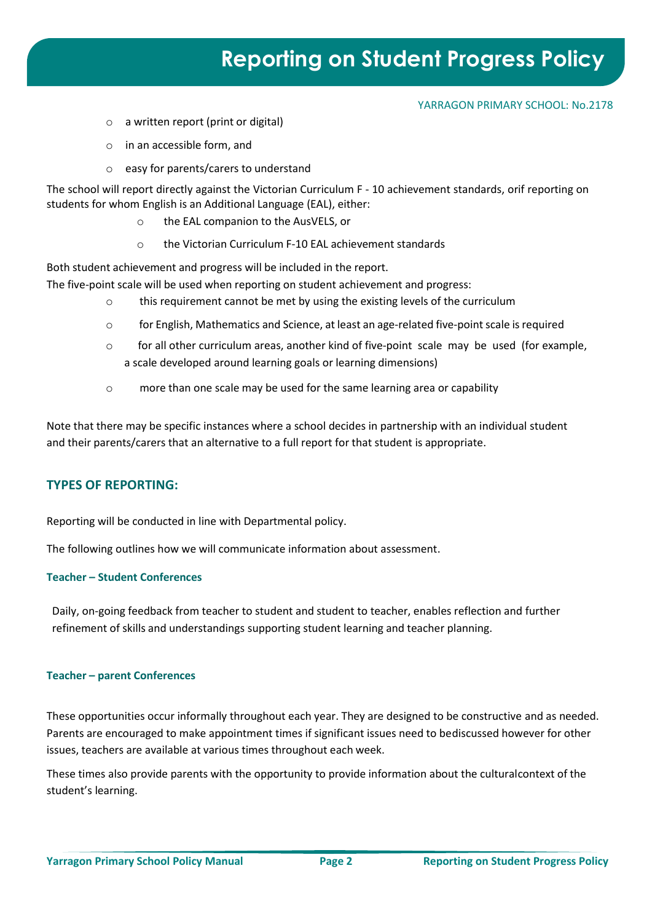# **Reporting on Student Progress Policy**

#### YARRAGON PRIMARY SCHOOL: No.2178

- o a written report (print or digital)
- o in an accessible form, and
- o easy for parents/carers to understand

The school will report directly against the Victorian Curriculum F - [10 achievement standards,](https://victoriancurriculum.vcaa.vic.edu.au/) orif reporting on students for whom English is an Additional Language (EAL), either:

- o the EAL companion to the AusVELS, or
- o the Victorian Curriculum F-10 EAL achievement standards

Both student achievement and progress will be included in the report.

- The five-point scale will be used when reporting on student achievement and progress:
	- o this requirement cannot be met by using the existing levels of the curriculum
	- $\circ$  for English, Mathematics and Science, at least an age-related five-point scale is required
	- $\circ$  for all other curriculum areas, another kind of five-point scale may be used (for example, a scale developed around learning goals or learning dimensions)
	- o more than one scale may be used for the same learning area or capability

Note that there may be specific instances where a school decides in partnership with an individual student and their parents/carers that an alternative to a full report for that student is appropriate.

## **TYPES OF REPORTING:**

Reporting will be conducted in line with Departmental policy.

The following outlines how we will communicate information about assessment.

#### **Teacher – Student Conferences**

Daily, on-going feedback from teacher to student and student to teacher, enables reflection and further refinement of skills and understandings supporting student learning and teacher planning.

#### **Teacher – parent Conferences**

These opportunities occur informally throughout each year. They are designed to be constructive and as needed. Parents are encouraged to make appointment times if significant issues need to bediscussed however for other issues, teachers are available at various times throughout each week.

These times also provide parents with the opportunity to provide information about the culturalcontext of the student's learning.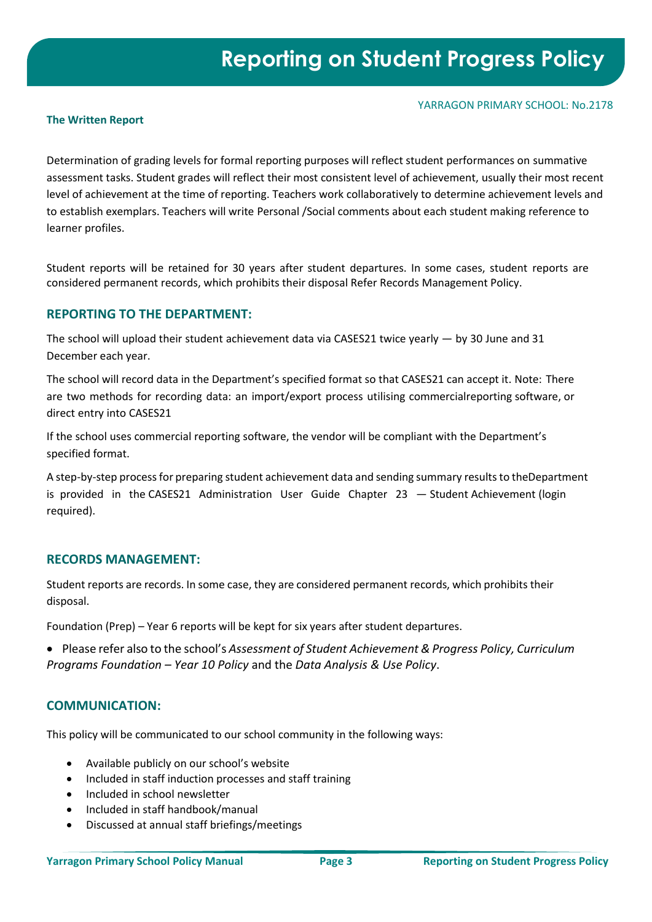#### YARRAGON PRIMARY SCHOOL: No.2178

#### **The Written Report**

Determination of grading levels for formal reporting purposes will reflect student performances on summative assessment tasks. Student grades will reflect their most consistent level of achievement, usually their most recent level of achievement at the time of reporting. Teachers work collaboratively to determine achievement levels and to establish exemplars. Teachers will write Personal /Social comments about each student making reference to learner profiles.

Student reports will be retained for 30 years after student departures. In some cases, student reports are considered permanent records, which prohibits their disposal Refer Records Management Policy.

### **REPORTING TO THE DEPARTMENT:**

The school will upload their student achievement data via CASES21 twice yearly — by 30 June and 31 December each year.

The school will record data in the Department's specified format so that CASES21 can accept it. Note: There are two methods for recording data: an import/export process utilising commercialreporting software, or direct entry into CASES21

If the school uses commercial reporting software, the vendor will be compliant with the Department's specified format.

A step-by-step process for preparing student achievement data and sending summary results to theDepartment is provided in the [CASES21 Administration User Guide Chapter 23](https://edugate.eduweb.vic.gov.au/Services/bussys/cases21/User%20Guides/C21%20ADMINISTRATION%20User%20Guides/Chapter%2023%20Student%20Achievement.pdf) — [Student Achievement](https://edugate.eduweb.vic.gov.au/Services/bussys/cases21/User%20Guides/C21%20ADMINISTRATION%20User%20Guides/Chapter%2023%20Student%20Achievement.pdf) (login required).

## **RECORDS MANAGEMENT:**

Student reports are records. In some case, they are considered permanent records, which prohibits their disposal.

Foundation (Prep) – Year 6 reports will be kept for six years after student departures.

• Please refer also to the school's *Assessment of Student Achievement &Progress Policy, Curriculum Programs Foundation – Year 10 Policy* and the *Data Analysis & Use Policy*.

## **COMMUNICATION:**

This policy will be communicated to our school community in the following ways:

- Available publicly on our school's website
- Included in staff induction processes and staff training
- Included in school newsletter
- Included in staff handbook/manual
- Discussed at annual staff briefings/meetings